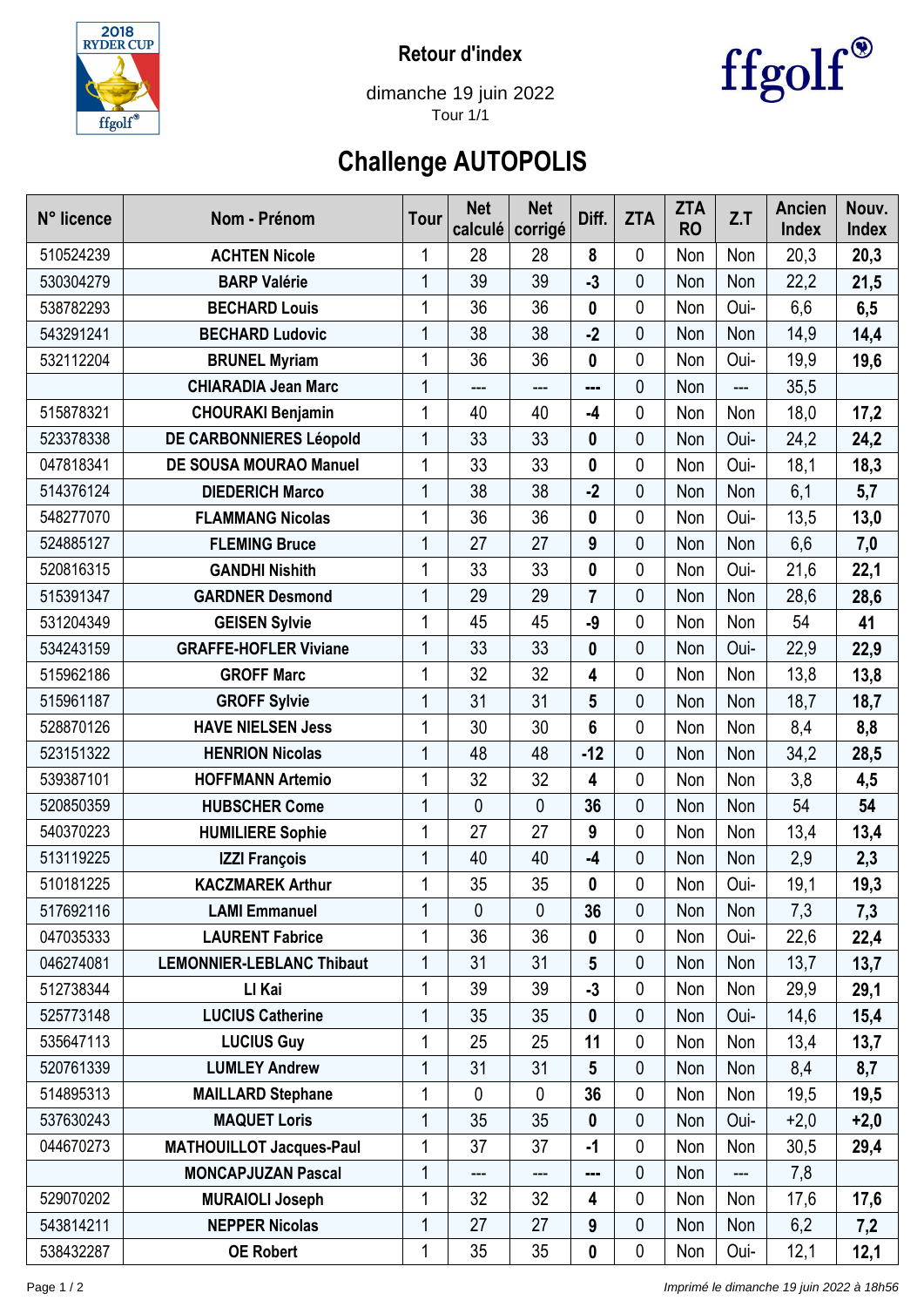

**Retour d'index**



dimanche 19 juin 2022 Tour 1/1

## **Challenge AUTOPOLIS**

| N° licence | Nom - Prénom                     | <b>Tour</b> | <b>Net</b><br>calculé | <b>Net</b><br>corrigé | Diff.          | <b>ZTA</b> | <b>ZTA</b><br><b>RO</b> | Z.T   | Ancien<br><b>Index</b> | Nouv.<br><b>Index</b> |
|------------|----------------------------------|-------------|-----------------------|-----------------------|----------------|------------|-------------------------|-------|------------------------|-----------------------|
| 510524239  | <b>ACHTEN Nicole</b>             | 1           | 28                    | 28                    | 8              | 0          | Non                     | Non   | 20,3                   | 20,3                  |
| 530304279  | <b>BARP Valérie</b>              | 1           | 39                    | 39                    | $-3$           | 0          | Non                     | Non   | 22,2                   | 21,5                  |
| 538782293  | <b>BECHARD Louis</b>             | 1           | 36                    | 36                    | 0              | 0          | Non                     | Oui-  | 6,6                    | 6,5                   |
| 543291241  | <b>BECHARD Ludovic</b>           | 1           | 38                    | 38                    | $-2$           | 0          | Non                     | Non   | 14,9                   | 14,4                  |
| 532112204  | <b>BRUNEL Myriam</b>             | 1           | 36                    | 36                    | 0              | 0          | Non                     | Oui-  | 19,9                   | 19,6                  |
|            | <b>CHIARADIA Jean Marc</b>       | 1           | $---$                 | ---                   | ---            | 0          | Non                     | $---$ | 35,5                   |                       |
| 515878321  | <b>CHOURAKI Benjamin</b>         | 1           | 40                    | 40                    | $-4$           | 0          | Non                     | Non   | 18,0                   | 17,2                  |
| 523378338  | DE CARBONNIERES Léopold          | 1           | 33                    | 33                    | 0              | 0          | Non                     | Oui-  | 24,2                   | 24,2                  |
| 047818341  | DE SOUSA MOURAO Manuel           | 1           | 33                    | 33                    | 0              | 0          | Non                     | Oui-  | 18,1                   | 18,3                  |
| 514376124  | <b>DIEDERICH Marco</b>           | 1           | 38                    | 38                    | $-2$           | 0          | Non                     | Non   | 6,1                    | 5,7                   |
| 548277070  | <b>FLAMMANG Nicolas</b>          | 1           | 36                    | 36                    | 0              | 0          | Non                     | Oui-  | 13,5                   | 13,0                  |
| 524885127  | <b>FLEMING Bruce</b>             | 1           | 27                    | 27                    | 9              | 0          | Non                     | Non   | 6,6                    | 7,0                   |
| 520816315  | <b>GANDHI Nishith</b>            | 1           | 33                    | 33                    | 0              | 0          | Non                     | Oui-  | 21,6                   | 22,1                  |
| 515391347  | <b>GARDNER Desmond</b>           | 1           | 29                    | 29                    | $\overline{7}$ | 0          | Non                     | Non   | 28,6                   | 28,6                  |
| 531204349  | <b>GEISEN Sylvie</b>             | 1           | 45                    | 45                    | -9             | 0          | Non                     | Non   | 54                     | 41                    |
| 534243159  | <b>GRAFFE-HOFLER Viviane</b>     | 1           | 33                    | 33                    | 0              | 0          | Non                     | Oui-  | 22,9                   | 22,9                  |
| 515962186  | <b>GROFF Marc</b>                | 1           | 32                    | 32                    | 4              | 0          | Non                     | Non   | 13,8                   | 13,8                  |
| 515961187  | <b>GROFF Sylvie</b>              |             | 31                    | 31                    | 5              | 0          | Non                     | Non   | 18,7                   | 18,7                  |
| 528870126  | <b>HAVE NIELSEN Jess</b>         | 1           | 30                    | 30                    | 6              | 0          | Non                     | Non   | 8,4                    | 8,8                   |
| 523151322  | <b>HENRION Nicolas</b>           | 1           | 48                    | 48                    | $-12$          | 0          | Non                     | Non   | 34,2                   | 28,5                  |
| 539387101  | <b>HOFFMANN Artemio</b>          | 1           | 32                    | 32                    | 4              | 0          | Non                     | Non   | 3,8                    | 4,5                   |
| 520850359  | <b>HUBSCHER Come</b>             | 1           | $\mathbf 0$           | 0                     | 36             | 0          | Non                     | Non   | 54                     | 54                    |
| 540370223  | <b>HUMILIERE Sophie</b>          | 1           | 27                    | 27                    | 9              | 0          | Non                     | Non   | 13,4                   | 13,4                  |
| 513119225  | <b>IZZI François</b>             | 1           | 40                    | 40                    | $-4$           | 0          | Non                     | Non   | 2,9                    | 2,3                   |
| 510181225  | <b>KACZMAREK Arthur</b>          | 1           | 35                    | 35                    | 0              | 0          | Non                     | Oui-  | 19,1                   | 19,3                  |
| 517692116  | <b>LAMI Emmanuel</b>             | 1           | $\mathbf{0}$          | 0                     | 36             | 0          | Non                     | Non   | 7,3                    | 7,3                   |
| 047035333  | <b>LAURENT Fabrice</b>           | 1           | 36                    | 36                    | 0              | 0          | Non                     | Oui-  | 22,6                   | 22,4                  |
| 046274081  | <b>LEMONNIER-LEBLANC Thibaut</b> | 1           | 31                    | 31                    | 5              | 0          | Non                     | Non   | 13,7                   | 13,7                  |
| 512738344  | LI Kai                           | 1           | 39                    | 39                    | $-3$           | 0          | Non                     | Non   | 29,9                   | 29,1                  |
| 525773148  | <b>LUCIUS Catherine</b>          | 1           | 35                    | 35                    | $\mathbf 0$    | 0          | Non                     | Oui-  | 14,6                   | 15,4                  |
| 535647113  | <b>LUCIUS Guy</b>                | 1           | 25                    | 25                    | 11             | 0          | Non                     | Non   | 13,4                   | 13,7                  |
| 520761339  | <b>LUMLEY Andrew</b>             | 1           | 31                    | 31                    | 5              | 0          | Non                     | Non   | 8,4                    | 8,7                   |
| 514895313  | <b>MAILLARD Stephane</b>         | 1           | 0                     | $\mathbf 0$           | 36             | 0          | Non                     | Non   | 19,5                   | 19,5                  |
| 537630243  | <b>MAQUET Loris</b>              | 1           | 35                    | 35                    | 0              | 0          | Non                     | Oui-  | $+2,0$                 | $+2,0$                |
| 044670273  | <b>MATHOUILLOT Jacques-Paul</b>  | 1           | 37                    | 37                    | -1             | 0          | Non                     | Non   | 30,5                   | 29,4                  |
|            | <b>MONCAPJUZAN Pascal</b>        | 1           | ---                   | ---                   |                | 0          | Non                     | ---   | 7,8                    |                       |
| 529070202  | <b>MURAIOLI Joseph</b>           | 1           | 32                    | 32                    | 4              | 0          | Non                     | Non   | 17,6                   | 17,6                  |
| 543814211  | <b>NEPPER Nicolas</b>            | 1           | 27                    | 27                    | 9              | 0          | Non                     | Non   | 6,2                    | 7,2                   |
| 538432287  | <b>OE Robert</b>                 | 1           | 35                    | 35                    | 0              | 0          | Non                     | Oui-  | 12,1                   | 12,1                  |